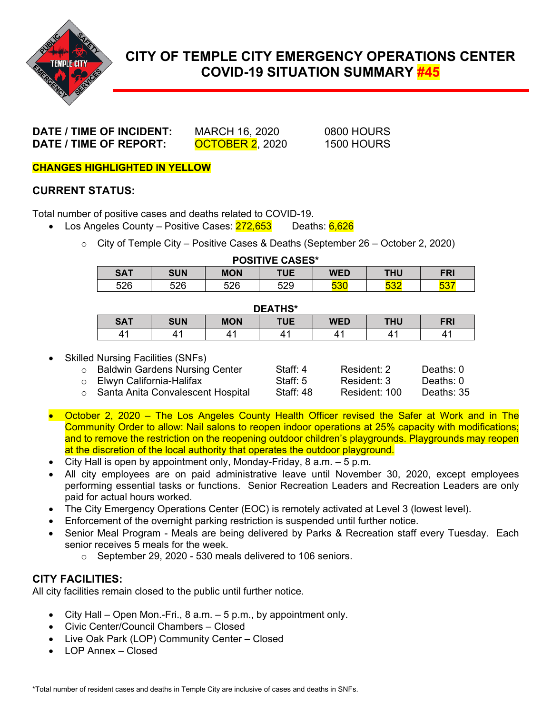

# **CITY OF TEMPLE CITY EMERGENCY OPERATIONS CENTER COVID-19 SITUATION SUMMARY #45**

**DATE / TIME OF INCIDENT:** MARCH 16, 2020 0800 HOURS **DATE / TIME OF REPORT: OCTOBER 2,** 2020 1500 HOURS

**CHANGES HIGHLIGHTED IN YELLOW**

### **CURRENT STATUS:**

Total number of positive cases and deaths related to COVID-19.

- Los Angeles County Positive Cases:  $272,653$  Deaths:  $6,626$ 
	- $\circ$  City of Temple City Positive Cases & Deaths (September 26 October 2, 2020)

| <b>POSITIVE CASES*</b> |            |            |     |     |                   |                   |
|------------------------|------------|------------|-----|-----|-------------------|-------------------|
| <b>SAT</b>             | <b>SUN</b> | <b>MON</b> | TUE | WED | THU               | <b>FRI</b>        |
| 526                    | 526        | 526        | 529 | 530 | <b>E20</b><br>◡◡∠ | <b>EOT</b><br>ാം. |

#### **DEATHS\***

| <b>PLAIR</b> |            |            |            |            |            |            |  |
|--------------|------------|------------|------------|------------|------------|------------|--|
| <b>SAT</b>   | <b>SUN</b> | <b>MON</b> | <b>TUE</b> | <b>WED</b> | <b>THU</b> | <b>FRI</b> |  |
|              |            |            |            |            |            |            |  |

Skilled Nursing Facilities (SNFs)

| ○ Baldwin Gardens Nursing Center          | Staff: 4   | Resident: 2   | Deaths: 0  |
|-------------------------------------------|------------|---------------|------------|
| ○ Elwyn California-Halifax                | Staff: $5$ | Resident: 3   | Deaths: 0  |
| $\circ$ Santa Anita Convalescent Hospital | Staff: 48  | Resident: 100 | Deaths: 35 |
|                                           |            |               |            |

- October 2, 2020 The Los Angeles County Health Officer revised the Safer at Work and in The Community Order to allow: Nail salons to reopen indoor operations at 25% capacity with modifications; and to remove the restriction on the reopening outdoor children's playgrounds. Playgrounds may reopen at the discretion of the local authority that operates the outdoor playground.
- City Hall is open by appointment only, Monday-Friday,  $8$  a.m.  $-5$  p.m.
- All city employees are on paid administrative leave until November 30, 2020, except employees performing essential tasks or functions. Senior Recreation Leaders and Recreation Leaders are only paid for actual hours worked.
- The City Emergency Operations Center (EOC) is remotely activated at Level 3 (lowest level).
- Enforcement of the overnight parking restriction is suspended until further notice.
- Senior Meal Program Meals are being delivered by Parks & Recreation staff every Tuesday. Each senior receives 5 meals for the week.
	- o September 29, 2020 530 meals delivered to 106 seniors.

### **CITY FACILITIES:**

All city facilities remain closed to the public until further notice.

- City Hall Open Mon.-Fri.,  $8$  a.m.  $-5$  p.m., by appointment only.
- Civic Center/Council Chambers Closed
- Live Oak Park (LOP) Community Center Closed
- LOP Annex Closed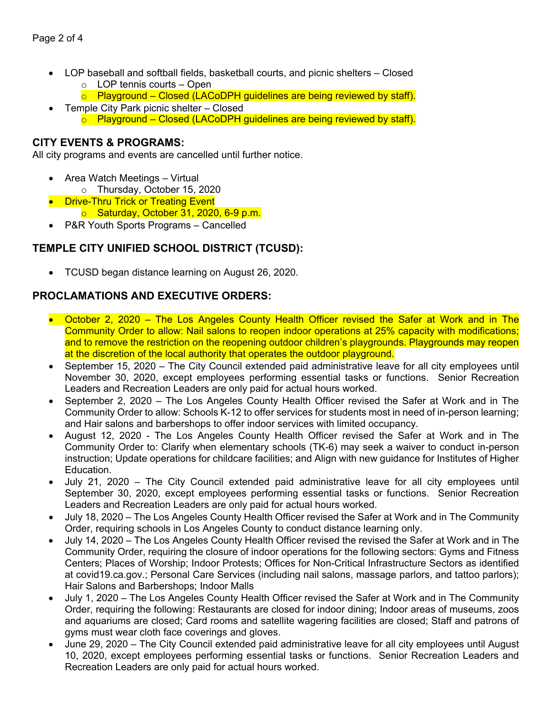- LOP baseball and softball fields, basketball courts, and picnic shelters Closed o LOP tennis courts – Open
	- $\circ$  Playground Closed (LACoDPH guidelines are being reviewed by staff).
- Temple City Park picnic shelter Closed  $\circ$  Playground – Closed (LACoDPH guidelines are being reviewed by staff).

#### **CITY EVENTS & PROGRAMS:**

All city programs and events are cancelled until further notice.

- Area Watch Meetings Virtual o Thursday, October 15, 2020
- Drive-Thru Trick or Treating Event
	- o Saturday, October 31, 2020, 6-9 p.m.
- P&R Youth Sports Programs Cancelled

## **TEMPLE CITY UNIFIED SCHOOL DISTRICT (TCUSD):**

• TCUSD began distance learning on August 26, 2020.

## **PROCLAMATIONS AND EXECUTIVE ORDERS:**

- October 2, 2020 The Los Angeles County Health Officer revised the Safer at Work and in The Community Order to allow: Nail salons to reopen indoor operations at 25% capacity with modifications; and to remove the restriction on the reopening outdoor children's playgrounds. Playgrounds may reopen at the discretion of the local authority that operates the outdoor playground.
- September 15, 2020 The City Council extended paid administrative leave for all city employees until November 30, 2020, except employees performing essential tasks or functions. Senior Recreation Leaders and Recreation Leaders are only paid for actual hours worked.
- September 2, 2020 The Los Angeles County Health Officer revised the Safer at Work and in The Community Order to allow: Schools K-12 to offer services for students most in need of in-person learning; and Hair salons and barbershops to offer indoor services with limited occupancy.
- August 12, 2020 The Los Angeles County Health Officer revised the Safer at Work and in The Community Order to: Clarify when elementary schools (TK-6) may seek a waiver to conduct in-person instruction; Update operations for childcare facilities; and Align with new guidance for Institutes of Higher Education.
- July 21, 2020 The City Council extended paid administrative leave for all city employees until September 30, 2020, except employees performing essential tasks or functions. Senior Recreation Leaders and Recreation Leaders are only paid for actual hours worked.
- July 18, 2020 The Los Angeles County Health Officer revised the Safer at Work and in The Community Order, requiring schools in Los Angeles County to conduct distance learning only.
- July 14, 2020 The Los Angeles County Health Officer revised the revised the Safer at Work and in The Community Order, requiring the closure of indoor operations for the following sectors: Gyms and Fitness Centers; Places of Worship; Indoor Protests; Offices for Non-Critical Infrastructure Sectors as identified at covid19.ca.gov.; Personal Care Services (including nail salons, massage parlors, and tattoo parlors); Hair Salons and Barbershops; Indoor Malls
- July 1, 2020 The Los Angeles County Health Officer revised the Safer at Work and in The Community Order, requiring the following: Restaurants are closed for indoor dining; Indoor areas of museums, zoos and aquariums are closed; Card rooms and satellite wagering facilities are closed; Staff and patrons of gyms must wear cloth face coverings and gloves.
- June 29, 2020 The City Council extended paid administrative leave for all city employees until August 10, 2020, except employees performing essential tasks or functions. Senior Recreation Leaders and Recreation Leaders are only paid for actual hours worked.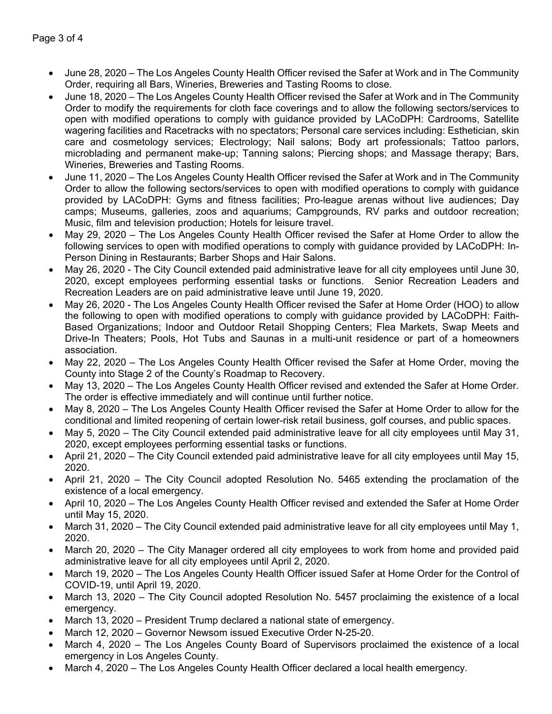- June 28, 2020 The Los Angeles County Health Officer revised the Safer at Work and in The Community Order, requiring all Bars, Wineries, Breweries and Tasting Rooms to close.
- June 18, 2020 The Los Angeles County Health Officer revised the Safer at Work and in The Community Order to modify the requirements for cloth face coverings and to allow the following sectors/services to open with modified operations to comply with guidance provided by LACoDPH: Cardrooms, Satellite wagering facilities and Racetracks with no spectators; Personal care services including: Esthetician, skin care and cosmetology services; Electrology; Nail salons; Body art professionals; Tattoo parlors, microblading and permanent make-up; Tanning salons; Piercing shops; and Massage therapy; Bars, Wineries, Breweries and Tasting Rooms.
- June 11, 2020 The Los Angeles County Health Officer revised the Safer at Work and in The Community Order to allow the following sectors/services to open with modified operations to comply with guidance provided by LACoDPH: Gyms and fitness facilities; Pro-league arenas without live audiences; Day camps; Museums, galleries, zoos and aquariums; Campgrounds, RV parks and outdoor recreation; Music, film and television production; Hotels for leisure travel.
- May 29, 2020 The Los Angeles County Health Officer revised the Safer at Home Order to allow the following services to open with modified operations to comply with guidance provided by LACoDPH: In-Person Dining in Restaurants; Barber Shops and Hair Salons.
- May 26, 2020 The City Council extended paid administrative leave for all city employees until June 30, 2020, except employees performing essential tasks or functions. Senior Recreation Leaders and Recreation Leaders are on paid administrative leave until June 19, 2020.
- May 26, 2020 The Los Angeles County Health Officer revised the Safer at Home Order (HOO) to allow the following to open with modified operations to comply with guidance provided by LACoDPH: Faith-Based Organizations; Indoor and Outdoor Retail Shopping Centers; Flea Markets, Swap Meets and Drive-In Theaters; Pools, Hot Tubs and Saunas in a multi-unit residence or part of a homeowners association.
- May 22, 2020 The Los Angeles County Health Officer revised the Safer at Home Order, moving the County into Stage 2 of the County's Roadmap to Recovery.
- May 13, 2020 The Los Angeles County Health Officer revised and extended the Safer at Home Order. The order is effective immediately and will continue until further notice.
- May 8, 2020 The Los Angeles County Health Officer revised the Safer at Home Order to allow for the conditional and limited reopening of certain lower-risk retail business, golf courses, and public spaces.
- May 5, 2020 The City Council extended paid administrative leave for all city employees until May 31, 2020, except employees performing essential tasks or functions.
- April 21, 2020 The City Council extended paid administrative leave for all city employees until May 15, 2020.
- April 21, 2020 The City Council adopted Resolution No. 5465 extending the proclamation of the existence of a local emergency.
- April 10, 2020 The Los Angeles County Health Officer revised and extended the Safer at Home Order until May 15, 2020.
- March 31, 2020 The City Council extended paid administrative leave for all city employees until May 1, 2020.
- March 20, 2020 The City Manager ordered all city employees to work from home and provided paid administrative leave for all city employees until April 2, 2020.
- March 19, 2020 The Los Angeles County Health Officer issued Safer at Home Order for the Control of COVID-19, until April 19, 2020.
- March 13, 2020 The City Council adopted Resolution No. 5457 proclaiming the existence of a local emergency.
- March 13, 2020 President Trump declared a national state of emergency.
- March 12, 2020 Governor Newsom issued Executive Order N-25-20.
- March 4, 2020 The Los Angeles County Board of Supervisors proclaimed the existence of a local emergency in Los Angeles County.
- March 4, 2020 The Los Angeles County Health Officer declared a local health emergency.